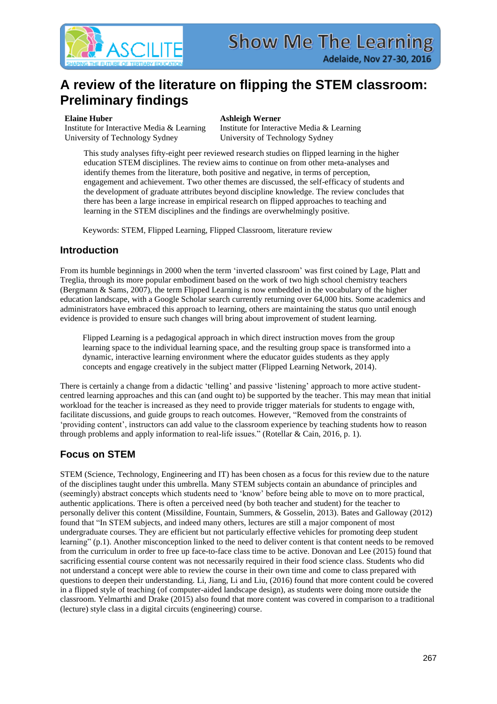

# **A review of the literature on flipping the STEM classroom: Preliminary findings**

#### **Elaine Huber**

Institute for Interactive Media & Learning University of Technology Sydney

#### **Ashleigh Werner**

Institute for Interactive Media & Learning University of Technology Sydney

This study analyses fifty-eight peer reviewed research studies on flipped learning in the higher education STEM disciplines. The review aims to continue on from other meta-analyses and identify themes from the literature, both positive and negative, in terms of perception, engagement and achievement. Two other themes are discussed, the self-efficacy of students and the development of graduate attributes beyond discipline knowledge. The review concludes that there has been a large increase in empirical research on flipped approaches to teaching and learning in the STEM disciplines and the findings are overwhelmingly positive.

Keywords: STEM, Flipped Learning, Flipped Classroom, literature review

### **Introduction**

From its humble beginnings in 2000 when the term 'inverted classroom' was first coined by Lage, Platt and Treglia, through its more popular embodiment based on the work of two high school chemistry teachers (Bergmann & Sams, 2007), the term Flipped Learning is now embedded in the vocabulary of the higher education landscape, with a Google Scholar search currently returning over 64,000 hits. Some academics and administrators have embraced this approach to learning, others are maintaining the status quo until enough evidence is provided to ensure such changes will bring about improvement of student learning.

Flipped Learning is a pedagogical approach in which direct instruction moves from the group learning space to the individual learning space, and the resulting group space is transformed into a dynamic, interactive learning environment where the educator guides students as they apply concepts and engage creatively in the subject matter (Flipped Learning Network, 2014).

There is certainly a change from a didactic 'telling' and passive 'listening' approach to more active studentcentred learning approaches and this can (and ought to) be supported by the teacher. This may mean that initial workload for the teacher is increased as they need to provide trigger materials for students to engage with, facilitate discussions, and guide groups to reach outcomes. However, "Removed from the constraints of 'providing content', instructors can add value to the classroom experience by teaching students how to reason through problems and apply information to real-life issues." (Rotellar & Cain, 2016, p. 1).

# **Focus on STEM**

STEM (Science, Technology, Engineering and IT) has been chosen as a focus for this review due to the nature of the disciplines taught under this umbrella. Many STEM subjects contain an abundance of principles and (seemingly) abstract concepts which students need to 'know' before being able to move on to more practical, authentic applications. There is often a perceived need (by both teacher and student) for the teacher to personally deliver this content (Missildine, Fountain, Summers, & Gosselin, 2013). Bates and Galloway (2012) found that "In STEM subjects, and indeed many others, lectures are still a major component of most undergraduate courses. They are efficient but not particularly effective vehicles for promoting deep student learning" (p.1). Another misconception linked to the need to deliver content is that content needs to be removed from the curriculum in order to free up face-to-face class time to be active. Donovan and Lee (2015) found that sacrificing essential course content was not necessarily required in their food science class. Students who did not understand a concept were able to review the course in their own time and come to class prepared with questions to deepen their understanding. Li, Jiang, Li and Liu, (2016) found that more content could be covered in a flipped style of teaching (of computer-aided landscape design), as students were doing more outside the classroom. Yelmarthi and Drake (2015) also found that more content was covered in comparison to a traditional (lecture) style class in a digital circuits (engineering) course.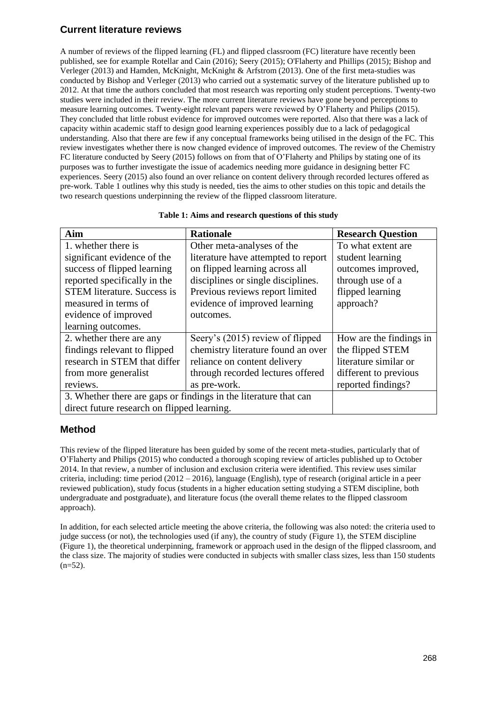# **Current literature reviews**

A number of reviews of the flipped learning (FL) and flipped classroom (FC) literature have recently been published, see for example Rotellar and Cain (2016); Seery (2015); O'Flaherty and Phillips (2015); Bishop and Verleger (2013) and Hamden, McKnight, McKnight & Arfstrom (2013). One of the first meta-studies was conducted by Bishop and Verleger (2013) who carried out a systematic survey of the literature published up to 2012. At that time the authors concluded that most research was reporting only student perceptions. Twenty-two studies were included in their review. The more current literature reviews have gone beyond perceptions to measure learning outcomes. Twenty-eight relevant papers were reviewed by O'Flaherty and Philips (2015). They concluded that little robust evidence for improved outcomes were reported. Also that there was a lack of capacity within academic staff to design good learning experiences possibly due to a lack of pedagogical understanding. Also that there are few if any conceptual frameworks being utilised in the design of the FC. This review investigates whether there is now changed evidence of improved outcomes. The review of the Chemistry FC literature conducted by Seery (2015) follows on from that of O'Flaherty and Philips by stating one of its purposes was to further investigate the issue of academics needing more guidance in designing better FC experiences. Seery (2015) also found an over reliance on content delivery through recorded lectures offered as pre-work. Table 1 outlines why this study is needed, ties the aims to other studies on this topic and details the two research questions underpinning the review of the flipped classroom literature.

|  |  | Table 1: Aims and research questions of this study |  |
|--|--|----------------------------------------------------|--|
|  |  |                                                    |  |

| Aim                                                              | <b>Rationale</b>                    | <b>Research Question</b> |  |
|------------------------------------------------------------------|-------------------------------------|--------------------------|--|
| 1. whether there is                                              | Other meta-analyses of the          | To what extent are       |  |
| significant evidence of the                                      | literature have attempted to report | student learning         |  |
| success of flipped learning                                      | on flipped learning across all      | outcomes improved,       |  |
| reported specifically in the                                     | disciplines or single disciplines.  | through use of a         |  |
| <b>STEM</b> literature. Success is                               | Previous reviews report limited     | flipped learning         |  |
| measured in terms of                                             | evidence of improved learning       | approach?                |  |
| evidence of improved                                             | outcomes.                           |                          |  |
| learning outcomes.                                               |                                     |                          |  |
| 2. whether there are any                                         | Seery's (2015) review of flipped    | How are the findings in  |  |
| findings relevant to flipped                                     | chemistry literature found an over  | the flipped STEM         |  |
| research in STEM that differ                                     | reliance on content delivery        | literature similar or    |  |
| from more generalist                                             | through recorded lectures offered   | different to previous    |  |
| reviews.                                                         | as pre-work.                        | reported findings?       |  |
| 3. Whether there are gaps or findings in the literature that can |                                     |                          |  |
| direct future research on flipped learning.                      |                                     |                          |  |

# **Method**

This review of the flipped literature has been guided by some of the recent meta-studies, particularly that of O'Flaherty and Philips (2015) who conducted a thorough scoping review of articles published up to October 2014. In that review, a number of inclusion and exclusion criteria were identified. This review uses similar criteria, including: time period (2012 – 2016), language (English), type of research (original article in a peer reviewed publication), study focus (students in a higher education setting studying a STEM discipline, both undergraduate and postgraduate), and literature focus (the overall theme relates to the flipped classroom approach).

In addition, for each selected article meeting the above criteria, the following was also noted: the criteria used to judge success (or not), the technologies used (if any), the country of study (Figure 1), the STEM discipline (Figure 1), the theoretical underpinning, framework or approach used in the design of the flipped classroom, and the class size. The majority of studies were conducted in subjects with smaller class sizes, less than 150 students  $(n=52)$ .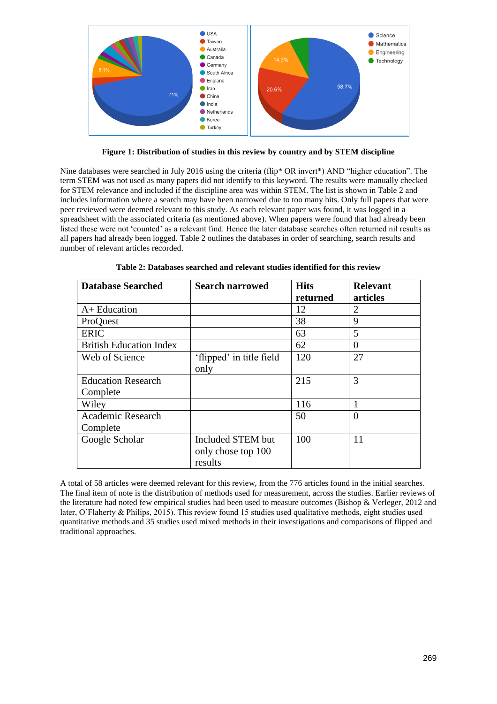

**Figure 1: Distribution of studies in this review by country and by STEM discipline**

Nine databases were searched in July 2016 using the criteria (flip\* OR invert\*) AND "higher education". The term STEM was not used as many papers did not identify to this keyword. The results were manually checked for STEM relevance and included if the discipline area was within STEM. The list is shown in Table 2 and includes information where a search may have been narrowed due to too many hits. Only full papers that were peer reviewed were deemed relevant to this study. As each relevant paper was found, it was logged in a spreadsheet with the associated criteria (as mentioned above). When papers were found that had already been listed these were not 'counted' as a relevant find. Hence the later database searches often returned nil results as all papers had already been logged. Table 2 outlines the databases in order of searching, search results and number of relevant articles recorded.

| <b>Database Searched</b>       | <b>Search narrowed</b>   | <b>Hits</b> | <b>Relevant</b> |  |
|--------------------------------|--------------------------|-------------|-----------------|--|
|                                |                          | returned    | articles        |  |
| $A+$ Education                 |                          | 12          | 2               |  |
| ProQuest                       |                          | 38          | 9               |  |
| <b>ERIC</b>                    |                          | 63          | 5               |  |
| <b>British Education Index</b> |                          | 62          | $\theta$        |  |
| Web of Science                 | 'flipped' in title field | 120         | 27              |  |
|                                | only                     |             |                 |  |
| <b>Education Research</b>      |                          | 215         | 3               |  |
| Complete                       |                          |             |                 |  |
| Wiley                          |                          | 116         |                 |  |
| <b>Academic Research</b>       |                          | 50          | $\overline{0}$  |  |
| Complete                       |                          |             |                 |  |
| Google Scholar                 | Included STEM but        | 100         | 11              |  |
|                                | only chose top 100       |             |                 |  |
|                                | results                  |             |                 |  |

**Table 2: Databases searched and relevant studies identified for this review**

A total of 58 articles were deemed relevant for this review, from the 776 articles found in the initial searches. The final item of note is the distribution of methods used for measurement, across the studies. Earlier reviews of the literature had noted few empirical studies had been used to measure outcomes (Bishop & Verleger, 2012 and later, O'Flaherty & Philips, 2015). This review found 15 studies used qualitative methods, eight studies used quantitative methods and 35 studies used mixed methods in their investigations and comparisons of flipped and traditional approaches.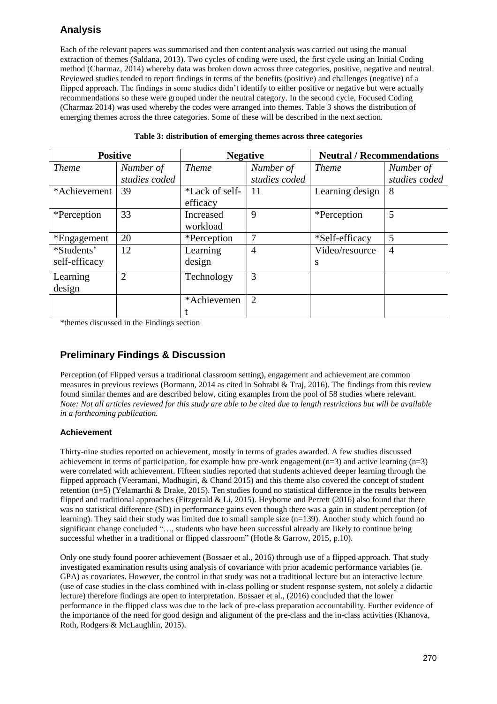# **Analysis**

Each of the relevant papers was summarised and then content analysis was carried out using the manual extraction of themes (Saldana, 2013). Two cycles of coding were used, the first cycle using an Initial Coding method (Charmaz, 2014) whereby data was broken down across three categories, positive, negative and neutral. Reviewed studies tended to report findings in terms of the benefits (positive) and challenges (negative) of a flipped approach. The findings in some studies didn't identify to either positive or negative but were actually recommendations so these were grouped under the neutral category. In the second cycle, Focused Coding (Charmaz 2014) was used whereby the codes were arranged into themes. Table 3 shows the distribution of emerging themes across the three categories. Some of these will be described in the next section.

| <b>Positive</b>             |                | <b>Negative</b>            |                | <b>Neutral / Recommendations</b> |                |
|-----------------------------|----------------|----------------------------|----------------|----------------------------------|----------------|
| <b>Theme</b>                | Number of      | <b>Theme</b>               | Number of      | <i>Theme</i>                     | Number of      |
|                             | studies coded  |                            | studies coded  |                                  | studies coded  |
| *Achievement<br>39          |                | *Lack of self-<br>efficacy | 11             | Learning design                  | 8              |
| *Perception                 | 33             | Increased<br>workload      | 9              | *Perception                      | 5              |
| *Engagement                 | 20             | *Perception                | 7              | *Self-efficacy                   | 5              |
| *Students'<br>self-efficacy | 12             | Learning<br>design         | $\overline{4}$ | Video/resource<br>S              | $\overline{4}$ |
| Learning<br>design          | $\overline{2}$ | Technology                 | 3              |                                  |                |
|                             |                | *Achievemen                | $\overline{2}$ |                                  |                |

### **Table 3: distribution of emerging themes across three categories**

\*themes discussed in the Findings section

# **Preliminary Findings & Discussion**

Perception (of Flipped versus a traditional classroom setting), engagement and achievement are common measures in previous reviews (Bormann, 2014 as cited in Sohrabi & Traj, 2016). The findings from this review found similar themes and are described below, citing examples from the pool of 58 studies where relevant. *Note: Not all articles reviewed for this study are able to be cited due to length restrictions but will be available in a forthcoming publication.*

### **Achievement**

Thirty-nine studies reported on achievement, mostly in terms of grades awarded. A few studies discussed achievement in terms of participation, for example how pre-work engagement  $(n=3)$  and active learning  $(n=3)$ were correlated with achievement. Fifteen studies reported that students achieved deeper learning through the flipped approach (Veeramani, Madhugiri, & Chand 2015) and this theme also covered the concept of student retention (n=5) (Yelamarthi & Drake, 2015). Ten studies found no statistical difference in the results between flipped and traditional approaches (Fitzgerald & Li, 2015). Heyborne and Perrett (2016) also found that there was no statistical difference (SD) in performance gains even though there was a gain in student perception (of learning). They said their study was limited due to small sample size (n=139). Another study which found no significant change concluded "…, students who have been successful already are likely to continue being successful whether in a traditional or flipped classroom" (Hotle & Garrow, 2015, p.10).

Only one study found poorer achievement (Bossaer et al., 2016) through use of a flipped approach. That study investigated examination results using analysis of covariance with prior academic performance variables (ie. GPA) as covariates. However, the control in that study was not a traditional lecture but an interactive lecture (use of case studies in the class combined with in-class polling or student response system, not solely a didactic lecture) therefore findings are open to interpretation. Bossaer et al., (2016) concluded that the lower performance in the flipped class was due to the lack of pre-class preparation accountability. Further evidence of the importance of the need for good design and alignment of the pre-class and the in-class activities (Khanova, Roth, Rodgers & McLaughlin, 2015).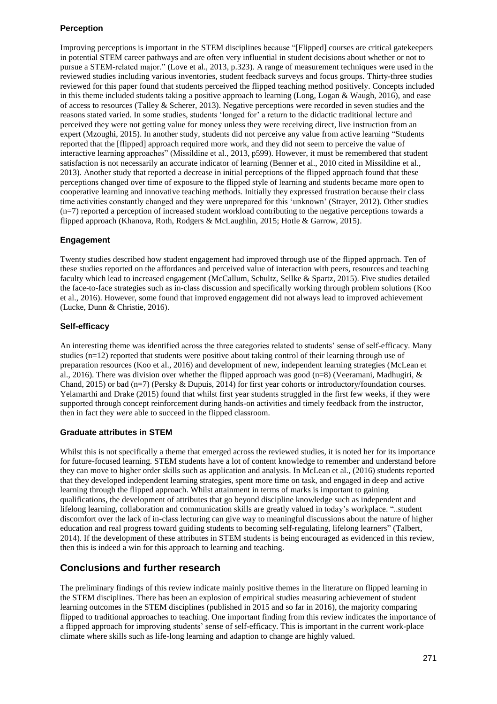### **Perception**

Improving perceptions is important in the STEM disciplines because "[Flipped] courses are critical gatekeepers in potential STEM career pathways and are often very influential in student decisions about whether or not to pursue a STEM-related major." (Love et al., 2013, p.323). A range of measurement techniques were used in the reviewed studies including various inventories, student feedback surveys and focus groups. Thirty-three studies reviewed for this paper found that students perceived the flipped teaching method positively. Concepts included in this theme included students taking a positive approach to learning (Long, Logan & Waugh, 2016), and ease of access to resources (Talley & Scherer, 2013). Negative perceptions were recorded in seven studies and the reasons stated varied. In some studies, students 'longed for' a return to the didactic traditional lecture and perceived they were not getting value for money unless they were receiving direct, live instruction from an expert (Mzoughi, 2015). In another study, students did not perceive any value from active learning "Students reported that the [flipped] approach required more work, and they did not seem to perceive the value of interactive learning approaches" (Missildine et al., 2013, p599). However, it must be remembered that student satisfaction is not necessarily an accurate indicator of learning (Benner et al., 2010 cited in Missildine et al., 2013). Another study that reported a decrease in initial perceptions of the flipped approach found that these perceptions changed over time of exposure to the flipped style of learning and students became more open to cooperative learning and innovative teaching methods. Initially they expressed frustration because their class time activities constantly changed and they were unprepared for this 'unknown' (Strayer, 2012). Other studies (n=7) reported a perception of increased student workload contributing to the negative perceptions towards a flipped approach (Khanova, Roth, Rodgers & McLaughlin, 2015; Hotle & Garrow, 2015).

### **Engagement**

Twenty studies described how student engagement had improved through use of the flipped approach. Ten of these studies reported on the affordances and perceived value of interaction with peers, resources and teaching faculty which lead to increased engagement (McCallum, Schultz, Sellke & Spartz, 2015). Five studies detailed the face-to-face strategies such as in-class discussion and specifically working through problem solutions (Koo et al., 2016). However, some found that improved engagement did not always lead to improved achievement (Lucke, Dunn & Christie, 2016).

#### **Self-efficacy**

An interesting theme was identified across the three categories related to students' sense of self-efficacy. Many studies (n=12) reported that students were positive about taking control of their learning through use of preparation resources (Koo et al., 2016) and development of new, independent learning strategies (McLean et al., 2016). There was division over whether the flipped approach was good (n=8) (Veeramani, Madhugiri,  $\&$ Chand, 2015) or bad (n=7) (Persky & Dupuis, 2014) for first year cohorts or introductory/foundation courses. Yelamarthi and Drake (2015) found that whilst first year students struggled in the first few weeks, if they were supported through concept reinforcement during hands-on activities and timely feedback from the instructor, then in fact they *were* able to succeed in the flipped classroom.

### **Graduate attributes in STEM**

Whilst this is not specifically a theme that emerged across the reviewed studies, it is noted her for its importance for future-focused learning. STEM students have a lot of content knowledge to remember and understand before they can move to higher order skills such as application and analysis. In McLean et al., (2016) students reported that they developed independent learning strategies, spent more time on task, and engaged in deep and active learning through the flipped approach. Whilst attainment in terms of marks is important to gaining qualifications, the development of attributes that go beyond discipline knowledge such as independent and lifelong learning, collaboration and communication skills are greatly valued in today's workplace. "..student discomfort over the lack of in-class lecturing can give way to meaningful discussions about the nature of higher education and real progress toward guiding students to becoming self-regulating, lifelong learners" (Talbert, 2014). If the development of these attributes in STEM students is being encouraged as evidenced in this review, then this is indeed a win for this approach to learning and teaching.

### **Conclusions and further research**

The preliminary findings of this review indicate mainly positive themes in the literature on flipped learning in the STEM disciplines. There has been an explosion of empirical studies measuring achievement of student learning outcomes in the STEM disciplines (published in 2015 and so far in 2016), the majority comparing flipped to traditional approaches to teaching. One important finding from this review indicates the importance of a flipped approach for improving students' sense of self-efficacy. This is important in the current work-place climate where skills such as life-long learning and adaption to change are highly valued.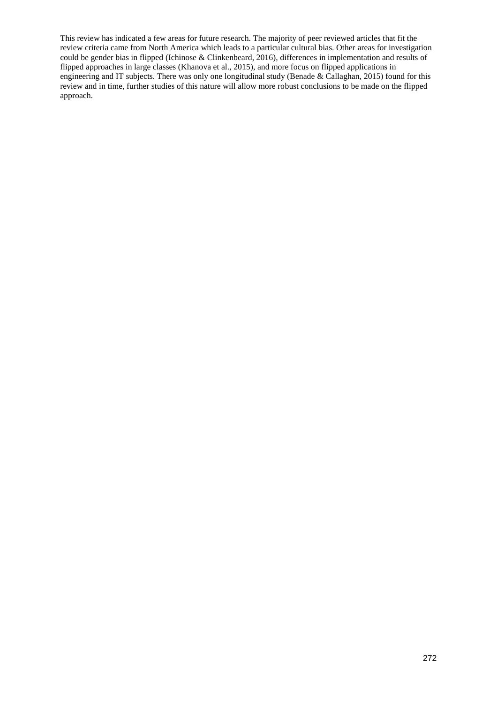This review has indicated a few areas for future research. The majority of peer reviewed articles that fit the review criteria came from North America which leads to a particular cultural bias. Other areas for investigation could be gender bias in flipped (Ichinose & Clinkenbeard, 2016), differences in implementation and results of flipped approaches in large classes (Khanova et al., 2015), and more focus on flipped applications in engineering and IT subjects. There was only one longitudinal study (Benade & Callaghan, 2015) found for this review and in time, further studies of this nature will allow more robust conclusions to be made on the flipped approach.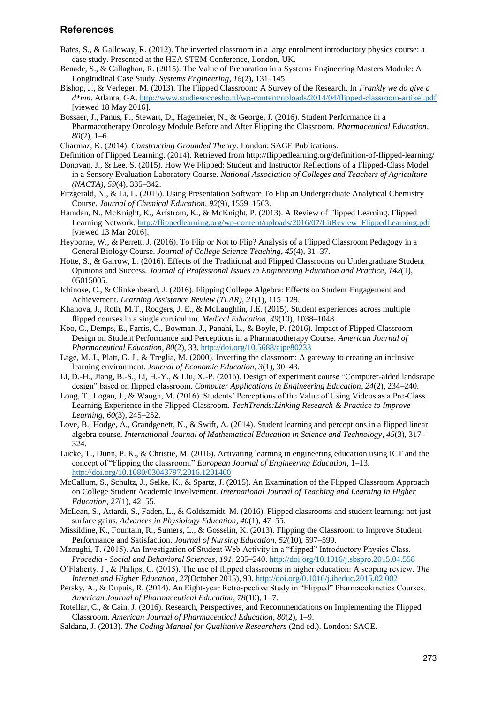## **References**

- Bates, S., & Galloway, R. (2012). The inverted classroom in a large enrolment introductory physics course: a case study. Presented at the HEA STEM Conference, London, UK.
- Benade, S., & Callaghan, R. (2015). The Value of Preparation in a Systems Engineering Masters Module: A Longitudinal Case Study. *Systems Engineering*, *18*(2), 131–145.
- Bishop, J., & Verleger, M. (2013). The Flipped Classroom: A Survey of the Research. In *Frankly we do give a d\*mn*. Atlanta, GA.<http://www.studiesuccesho.nl/wp-content/uploads/2014/04/flipped-classroom-artikel.pdf> [viewed 18 May 2016].
- Bossaer, J., Panus, P., Stewart, D., Hagemeier, N., & George, J. (2016). Student Performance in a Pharmacotherapy Oncology Module Before and After Flipping the Classroom. *Pharmaceutical Education*, *80*(2), 1–6.
- Charmaz, K. (2014). *Constructing Grounded Theory*. London: SAGE Publications.
- Definition of Flipped Learning. (2014). Retrieved from http://flippedlearning.org/definition-of-flipped-learning/
- Donovan, J., & Lee, S. (2015). How We Flipped: Student and Instructor Reflections of a Flipped-Class Model in a Sensory Evaluation Laboratory Course. *National Association of Colleges and Teachers of Agriculture (NACTA)*, *59*(4), 335–342.
- Fitzgerald, N., & Li, L. (2015). Using Presentation Software To Flip an Undergraduate Analytical Chemistry Course. *Journal of Chemical Education*, *92*(9), 1559–1563.
- Hamdan, N., McKnight, K., Arfstrom, K., & McKnight, P. (2013). A Review of Flipped Learning. Flipped Learning Network. [http://flippedlearning.org/wp-content/uploads/2016/07/LitReview\\_FlippedLearning.pdf](http://flippedlearning.org/wp-content/uploads/2016/07/LitReview_FlippedLearning.pdf) [viewed 13 Mar 2016].
- Heyborne, W., & Perrett, J. (2016). To Flip or Not to Flip? Analysis of a Flipped Classroom Pedagogy in a General Biology Course. *Journal of College Science Teaching*, *45*(4), 31–37.
- Hotte, S., & Garrow, L. (2016). Effects of the Traditional and Flipped Classrooms on Undergraduate Student Opinions and Success. *Journal of Professional Issues in Engineering Education and Practice*, *142*(1), 05015005.
- Ichinose, C., & Clinkenbeard, J. (2016). Flipping College Algebra: Effects on Student Engagement and Achievement. *Learning Assistance Review (TLAR)*, *21*(1), 115–129.
- Khanova, J., Roth, M.T., Rodgers, J. E., & McLaughlin, J.E. (2015). Student experiences across multiple flipped courses in a single curriculum. *Medical Education*, *49*(10), 1038–1048.
- Koo, C., Demps, E., Farris, C., Bowman, J., Panahi, L., & Boyle, P. (2016). Impact of Flipped Classroom Design on Student Performance and Perceptions in a Pharmacotherapy Course. *American Journal of Pharmaceutical Education*, *80*(2), 33.<http://doi.org/10.5688/ajpe80233>
- Lage, M. J., Platt, G. J., & Treglia, M. (2000). Inverting the classroom: A gateway to creating an inclusive learning environment. *Journal of Economic Education*, *3*(1), 30–43.
- Li, D.-H., Jiang, B.-S., Li, H.-Y., & Liu, X.-P. (2016). Design of experiment course "Computer-aided landscape design" based on flipped classroom. *Computer Applications in Engineering Education*, *24*(2), 234–240.
- Long, T., Logan, J., & Waugh, M. (2016). Students' Perceptions of the Value of Using Videos as a Pre-Class Learning Experience in the Flipped Classroom. *TechTrends:Linking Research & Practice to Improve Learning*, *60*(3), 245–252.
- Love, B., Hodge, A., Grandgenett, N., & Swift, A. (2014). Student learning and perceptions in a flipped linear algebra course. *International Journal of Mathematical Education in Science and Technology*, *45*(3), 317– 324.
- Lucke, T., Dunn, P. K., & Christie, M. (2016). Activating learning in engineering education using ICT and the concept of "Flipping the classroom." *European Journal of Engineering Education*, 1–13. <http://doi.org/10.1080/03043797.2016.1201460>
- McCallum, S., Schultz, J., Selke, K., & Spartz, J. (2015). An Examination of the Flipped Classroom Approach on College Student Academic Involvement. *International Journal of Teaching and Learning in Higher Education*, *27*(1), 42–55.
- McLean, S., Attardi, S., Faden, L., & Goldszmidt, M. (2016). Flipped classrooms and student learning: not just surface gains. *Advances in Physiology Education*, *40*(1), 47–55.
- Missildine, K., Fountain, R., Sumers, L., & Gosselin, K. (2013). Flipping the Classroom to Improve Student Performance and Satisfaction. *Journal of Nursing Education*, *52*(10), 597–599.
- Mzoughi, T. (2015). An Investigation of Student Web Activity in a "flipped" Introductory Physics Class. *Procedia - Social and Behavioral Sciences*, *191*, 235–240[. http://doi.org/10.1016/j.sbspro.2015.04.558](http://doi.org/10.1016/j.sbspro.2015.04.558)
- O'Flaherty, J., & Philips, C. (2015). The use of flipped classrooms in higher education: A scoping review. *The Internet and Higher Education*, *27*(October 2015), 90.<http://doi.org/0.1016/j.iheduc.2015.02.002>
- Persky, A., & Dupuis, R. (2014). An Eight-year Retrospective Study in "Flipped" Pharmacokinetics Courses. *American Journal of Pharmaceutical Education*, *78*(10), 1–7.
- Rotellar, C., & Cain, J. (2016). Research, Perspectives, and Recommendations on Implementing the Flipped Classroom. *American Journal of Pharmaceutical Education*, *80*(2), 1–9.
- Saldana, J. (2013). *The Coding Manual for Qualitative Researchers* (2nd ed.). London: SAGE.